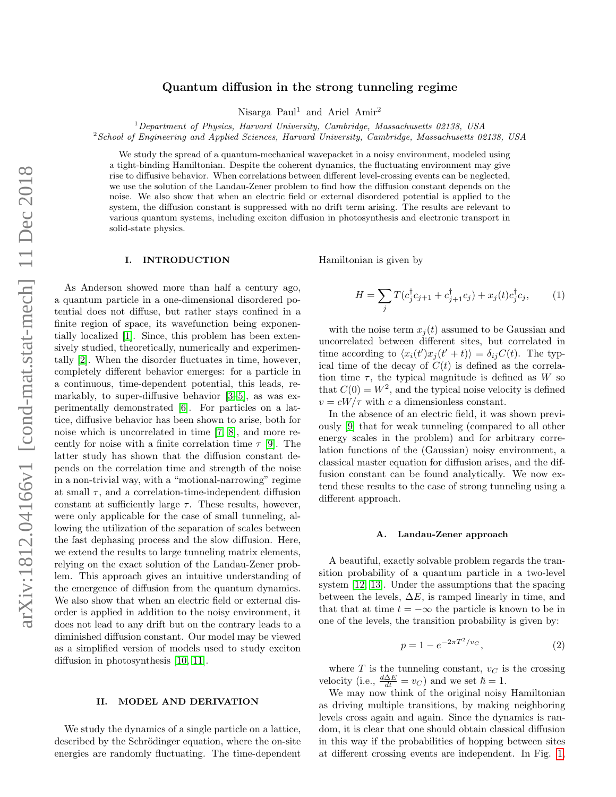# Quantum diffusion in the strong tunneling regime

Nisarga Paul<sup>1</sup> and Ariel Amir<sup>2</sup>

<sup>1</sup>Department of Physics, Harvard University, Cambridge, Massachusetts 02138, USA

 $2$ School of Engineering and Applied Sciences, Harvard University, Cambridge, Massachusetts 02138, USA

We study the spread of a quantum-mechanical wavepacket in a noisy environment, modeled using a tight-binding Hamiltonian. Despite the coherent dynamics, the fluctuating environment may give rise to diffusive behavior. When correlations between different level-crossing events can be neglected, we use the solution of the Landau-Zener problem to find how the diffusion constant depends on the noise. We also show that when an electric field or external disordered potential is applied to the system, the diffusion constant is suppressed with no drift term arising. The results are relevant to various quantum systems, including exciton diffusion in photosynthesis and electronic transport in solid-state physics.

### I. INTRODUCTION

As Anderson showed more than half a century ago, a quantum particle in a one-dimensional disordered potential does not diffuse, but rather stays confined in a finite region of space, its wavefunction being exponentially localized [\[1\]](#page-3-0). Since, this problem has been extensively studied, theoretically, numerically and experimentally [\[2\]](#page-3-1). When the disorder fluctuates in time, however, completely different behavior emerges: for a particle in a continuous, time-dependent potential, this leads, remarkably, to super-diffusive behavior [\[3–](#page-3-2)[5\]](#page-3-3), as was experimentally demonstrated [\[6\]](#page-3-4). For particles on a lattice, diffusive behavior has been shown to arise, both for noise which is uncorrelated in time [\[7,](#page-3-5) [8\]](#page-3-6), and more recently for noise with a finite correlation time  $\tau$  [\[9\]](#page-3-7). The latter study has shown that the diffusion constant depends on the correlation time and strength of the noise in a non-trivial way, with a "motional-narrowing" regime at small  $\tau$ , and a correlation-time-independent diffusion constant at sufficiently large  $\tau$ . These results, however, were only applicable for the case of small tunneling, allowing the utilization of the separation of scales between the fast dephasing process and the slow diffusion. Here, we extend the results to large tunneling matrix elements, relying on the exact solution of the Landau-Zener problem. This approach gives an intuitive understanding of the emergence of diffusion from the quantum dynamics. We also show that when an electric field or external disorder is applied in addition to the noisy environment, it does not lead to any drift but on the contrary leads to a diminished diffusion constant. Our model may be viewed as a simplified version of models used to study exciton diffusion in photosynthesis [\[10,](#page-3-8) [11\]](#page-3-9).

### II. MODEL AND DERIVATION

We study the dynamics of a single particle on a lattice, described by the Schrödinger equation, where the on-site energies are randomly fluctuating. The time-dependent Hamiltonian is given by

<span id="page-0-0"></span>
$$
H = \sum_{j} T(c_j^{\dagger} c_{j+1} + c_{j+1}^{\dagger} c_j) + x_j(t) c_j^{\dagger} c_j, \qquad (1)
$$

with the noise term  $x_i(t)$  assumed to be Gaussian and uncorrelated between different sites, but correlated in time according to  $\langle x_i(t')x_j(t'+t)\rangle = \delta_{ij}C(t)$ . The typical time of the decay of  $C(t)$  is defined as the correlation time  $\tau$ , the typical magnitude is defined as W so that  $C(0) = W^2$ , and the typical noise velocity is defined  $v = cW/\tau$  with c a dimensionless constant.

In the absence of an electric field, it was shown previously [\[9\]](#page-3-7) that for weak tunneling (compared to all other energy scales in the problem) and for arbitrary correlation functions of the (Gaussian) noisy environment, a classical master equation for diffusion arises, and the diffusion constant can be found analytically. We now extend these results to the case of strong tunneling using a different approach.

#### A. Landau-Zener approach

A beautiful, exactly solvable problem regards the transition probability of a quantum particle in a two-level system [\[12,](#page-3-10) [13\]](#page-3-11). Under the assumptions that the spacing between the levels,  $\Delta E$ , is ramped linearly in time, and that that at time  $t = -\infty$  the particle is known to be in one of the levels, the transition probability is given by:

<span id="page-0-1"></span>
$$
p = 1 - e^{-2\pi T^2/v_C},\tag{2}
$$

where  $T$  is the tunneling constant,  $v_C$  is the crossing velocity (i.e.,  $\frac{d\Delta E}{dt} = v_C$ ) and we set  $\hbar = 1$ .

We may now think of the original noisy Hamiltonian as driving multiple transitions, by making neighboring levels cross again and again. Since the dynamics is random, it is clear that one should obtain classical diffusion in this way if the probabilities of hopping between sites at different crossing events are independent. In Fig. [1,](#page-1-0)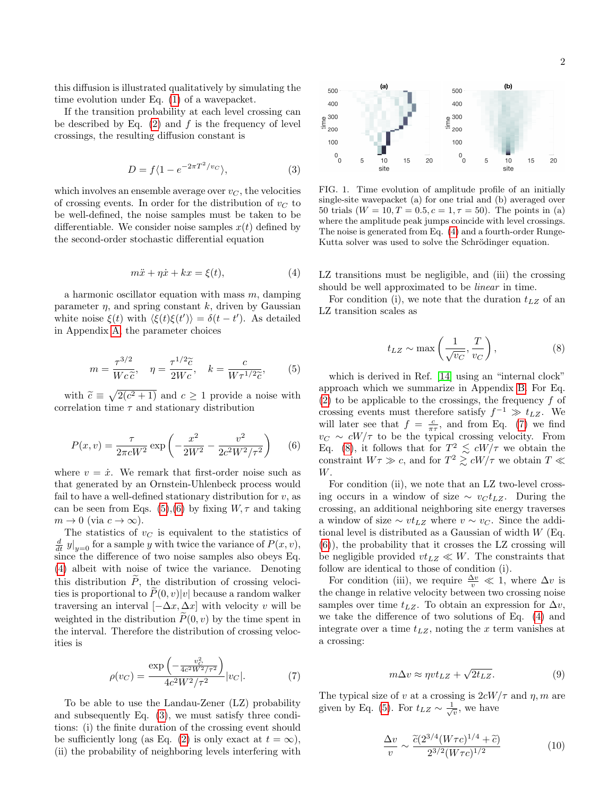this diffusion is illustrated qualitatively by simulating the time evolution under Eq. [\(1\)](#page-0-0) of a wavepacket.

If the transition probability at each level crossing can be described by Eq.  $(2)$  and f is the frequency of level crossings, the resulting diffusion constant is

<span id="page-1-4"></span>
$$
D = f\langle 1 - e^{-2\pi T^2/v_C} \rangle, \tag{3}
$$

which involves an ensemble average over  $v<sub>C</sub>$ , the velocities of crossing events. In order for the distribution of  $v<sub>C</sub>$  to be well-defined, the noise samples must be taken to be differentiable. We consider noise samples  $x(t)$  defined by the second-order stochastic differential equation

<span id="page-1-3"></span>
$$
m\ddot{x} + \eta \dot{x} + kx = \xi(t),\tag{4}
$$

a harmonic oscillator equation with mass  $m$ , damping parameter  $\eta$ , and spring constant k, driven by Gaussian white noise  $\xi(t)$  with  $\langle \xi(t) \xi(t') \rangle = \delta(t - t')$ . As detailed in Appendix [A,](#page-3-12) the parameter choices

<span id="page-1-1"></span>
$$
m = \frac{\tau^{3/2}}{Wc\tilde{c}}, \quad \eta = \frac{\tau^{1/2}\tilde{c}}{2Wc}, \quad k = \frac{c}{W\tau^{1/2}\tilde{c}}, \quad (5)
$$

with  $\tilde{c} \equiv \sqrt{2(c^2+1)}$  and  $c \ge 1$  provide a noise with<br>realition time  $\tau$  and stationary distribution correlation time  $\tau$  and stationary distribution

<span id="page-1-2"></span>
$$
P(x,v) = \frac{\tau}{2\pi cW^2} \exp\left(-\frac{x^2}{2W^2} - \frac{v^2}{2c^2W^2/\tau^2}\right) \tag{6}
$$

where  $v = \dot{x}$ . We remark that first-order noise such as that generated by an Ornstein-Uhlenbeck process would fail to have a well-defined stationary distribution for  $v$ , as can be seen from Eqs. [\(5\)](#page-1-1),[\(6\)](#page-1-2) by fixing  $W, \tau$  and taking  $m \to 0$  (via  $c \to \infty$ ).

The statistics of  $v<sub>C</sub>$  is equivalent to the statistics of  $\frac{d}{dt}$   $y|_{y=0}$  for a sample y with twice the variance of  $P(x, v)$ , since the difference of two noise samples also obeys Eq. [\(4\)](#page-1-3) albeit with noise of twice the variance. Denoting this distribution  $\widetilde{P}$ , the distribution of crossing velocities is proportional to  $\tilde{P}(0, v)|v|$  because a random walker traversing an interval  $[-\Delta x, \Delta x]$  with velocity v will be weighted in the distribution  $P(0, v)$  by the time spent in the interval. Therefore the distribution of crossing velocities is

<span id="page-1-5"></span>
$$
\rho(v_C) = \frac{\exp\left(-\frac{v_C^2}{4c^2W^2/\tau^2}\right)}{4c^2W^2/\tau^2}|v_C|.\tag{7}
$$

To be able to use the Landau-Zener (LZ) probability and subsequently Eq. [\(3\)](#page-1-4), we must satisfy three conditions: (i) the finite duration of the crossing event should be sufficiently long (as Eq. [\(2\)](#page-0-1) is only exact at  $t = \infty$ ), (ii) the probability of neighboring levels interfering with



<span id="page-1-0"></span>FIG. 1. Time evolution of amplitude profile of an initially single-site wavepacket (a) for one trial and (b) averaged over 50 trials  $(W = 10, T = 0.5, c = 1, \tau = 50)$ . The points in (a) where the amplitude peak jumps coincide with level crossings. The noise is generated from Eq. [\(4\)](#page-1-3) and a fourth-order Runge-Kutta solver was used to solve the Schrödinger equation.

LZ transitions must be negligible, and (iii) the crossing should be well approximated to be linear in time.

For condition (i), we note that the duration  $t_{LZ}$  of an LZ transition scales as

<span id="page-1-6"></span>
$$
t_{LZ} \sim \max\left(\frac{1}{\sqrt{v_C}}, \frac{T}{v_C}\right),\tag{8}
$$

which is derived in Ref. [\[14\]](#page-3-13) using an "internal clock" approach which we summarize in Appendix [B.](#page-4-0) For Eq.  $(2)$  to be applicable to the crossings, the frequency f of crossing events must therefore satisfy  $f^{-1} \gg t_{LZ}$ . We will later see that  $f = \frac{c}{\pi \tau}$ , and from Eq. [\(7\)](#page-1-5) we find  $v<sub>C</sub> \sim cW/\tau$  to be the typical crossing velocity. From Eq. [\(8\)](#page-1-6), it follows that for  $T^2 \leq cW/\tau$  we obtain the constraint  $W\tau \gg c$ , and for  $T^2 \gtrsim cW/\tau$  we obtain  $T \ll$ W.

For condition (ii), we note that an LZ two-level crossing occurs in a window of size  $\sim v_C t_{LZ}$ . During the crossing, an additional neighboring site energy traverses a window of size  $\sim vt_{LZ}$  where  $v \sim v_C$ . Since the additional level is distributed as a Gaussian of width  $W$  (Eq. [\(6\)](#page-1-2)), the probability that it crosses the LZ crossing will be negligible provided  $vt_{LZ} \ll W$ . The constraints that follow are identical to those of condition (i).

For condition (iii), we require  $\frac{\Delta v}{v} \ll 1$ , where  $\Delta v$  is the change in relative velocity between two crossing noise samples over time  $t_{LZ}$ . To obtain an expression for  $\Delta v$ , we take the difference of two solutions of Eq. [\(4\)](#page-1-3) and integrate over a time  $t_{LZ}$ , noting the x term vanishes at a crossing:

$$
m\Delta v \approx \eta vt_{LZ} + \sqrt{2t_{LZ}}.\tag{9}
$$

The typical size of v at a crossing is  $2cW/\tau$  and  $\eta$ , m are given by Eq. [\(5\)](#page-1-1). For  $t_{LZ} \sim \frac{1}{\sqrt{v}}$ , we have

$$
\frac{\Delta v}{v} \sim \frac{\tilde{c}(2^{3/4}(W\tau c)^{1/4} + \tilde{c})}{2^{3/2}(W\tau c)^{1/2}}\tag{10}
$$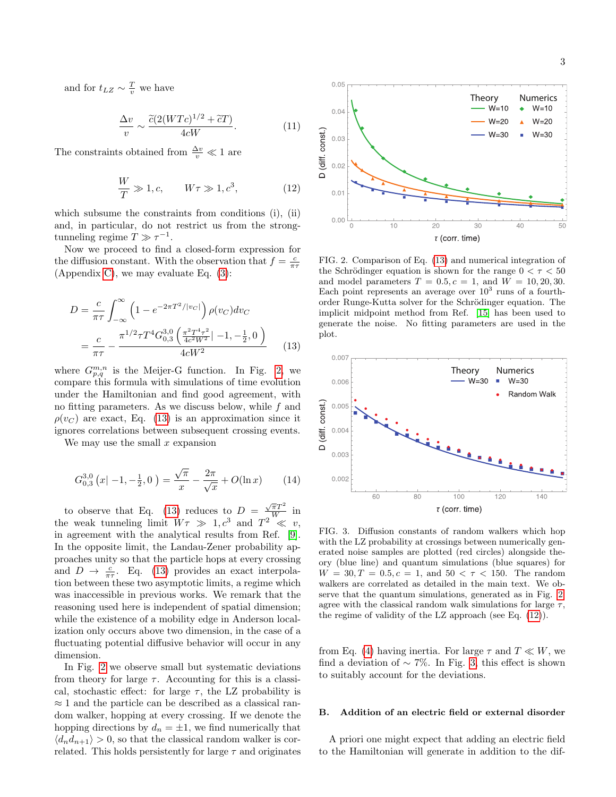and for  $t_{LZ} \sim \frac{T}{v}$  we have

$$
\frac{\Delta v}{v} \sim \frac{\widetilde{c}(2(WTc)^{1/2} + \widetilde{c}T)}{4cW}.
$$
\n(11)

The constraints obtained from  $\frac{\Delta v}{v} \ll 1$  are

<span id="page-2-2"></span>
$$
\frac{W}{T} \gg 1, c, \qquad W\tau \gg 1, c^3,
$$
\n(12)

which subsume the constraints from conditions (i), (ii) and, in particular, do not restrict us from the strongtunneling regime  $T \gg \tau^{-1}$ .

Now we proceed to find a closed-form expression for the diffusion constant. With the observation that  $f = \frac{c}{\pi \tau}$ (Appendix [C\)](#page-5-0), we may evaluate Eq. [\(3\)](#page-1-4):

$$
D = \frac{c}{\pi \tau} \int_{-\infty}^{\infty} \left( 1 - e^{-2\pi T^2 / |v_C|} \right) \rho(v_C) dv_C
$$
  
= 
$$
\frac{c}{\pi \tau} - \frac{\pi^{1/2} \tau T^4 G_{0,3}^{3,0} \left( \frac{\pi^2 T^4 \tau^2}{4c^2 W^2} | -1, -\frac{1}{2}, 0 \right)}{4cW^2}
$$
(13)

where  $G_{p,q}^{m,n}$  is the Meijer-G function. In Fig. [2,](#page-2-0) we compare this formula with simulations of time evolution under the Hamiltonian and find good agreement, with no fitting parameters. As we discuss below, while f and  $\rho(v_C)$  are exact, Eq. [\(13\)](#page-2-1) is an approximation since it ignores correlations between subsequent crossing events.

We may use the small  $x$  expansion

$$
G_{0,3}^{3,0}(x|-1,-\frac{1}{2},0) = \frac{\sqrt{\pi}}{x} - \frac{2\pi}{\sqrt{x}} + O(\ln x)
$$
 (14)

to observe that Eq. [\(13\)](#page-2-1) reduces to  $D = \frac{\sqrt{\pi}T^2}{W}$  in the weak tunneling limit  $W\tau \gg 1, c^3$  and  $T^2 \ll v$ , in agreement with the analytical results from Ref. [\[9\]](#page-3-7). In the opposite limit, the Landau-Zener probability approaches unity so that the particle hops at every crossing and  $D \to \frac{c}{\pi \tau}$ . Eq. [\(13\)](#page-2-1) provides an exact interpolation between these two asymptotic limits, a regime which was inaccessible in previous works. We remark that the reasoning used here is independent of spatial dimension; while the existence of a mobility edge in Anderson localization only occurs above two dimension, in the case of a fluctuating potential diffusive behavior will occur in any dimension.

In Fig. [2](#page-2-0) we observe small but systematic deviations from theory for large  $\tau$ . Accounting for this is a classical, stochastic effect: for large  $\tau$ , the LZ probability is  $\approx$  1 and the particle can be described as a classical random walker, hopping at every crossing. If we denote the hopping directions by  $d_n = \pm 1$ , we find numerically that  $\langle d_n d_{n+1} \rangle > 0$ , so that the classical random walker is correlated. This holds persistently for large  $\tau$  and originates



<span id="page-2-0"></span>FIG. 2. Comparison of Eq. [\(13\)](#page-2-1) and numerical integration of the Schrödinger equation is shown for the range  $0 < \tau < 50$ and model parameters  $T = 0.5, c = 1$ , and  $W = 10, 20, 30$ . Each point represents an average over  $10^3$  runs of a fourthorder Runge-Kutta solver for the Schrödinger equation. The implicit midpoint method from Ref. [\[15\]](#page-3-14) has been used to generate the noise. No fitting parameters are used in the plot.

<span id="page-2-1"></span>

<span id="page-2-3"></span>FIG. 3. Diffusion constants of random walkers which hop with the LZ probability at crossings between numerically generated noise samples are plotted (red circles) alongside theory (blue line) and quantum simulations (blue squares) for  $W = 30, T = 0.5, c = 1, \text{ and } 50 < \tau < 150.$  The random walkers are correlated as detailed in the main text. We observe that the quantum simulations, generated as in Fig. [2,](#page-2-0) agree with the classical random walk simulations for large  $\tau$ , the regime of validity of the LZ approach (see Eq. [\(12\)](#page-2-2)).

from Eq. [\(4\)](#page-1-3) having inertia. For large  $\tau$  and  $T \ll W$ , we find a deviation of  $\sim$  7%. In Fig. [3,](#page-2-3) this effect is shown to suitably account for the deviations.

## <span id="page-2-4"></span>B. Addition of an electric field or external disorder

A priori one might expect that adding an electric field to the Hamiltonian will generate in addition to the dif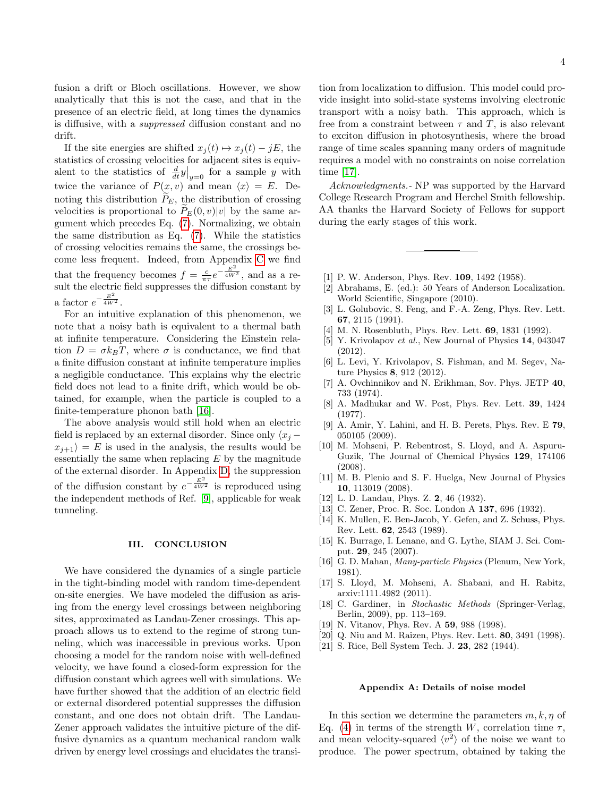fusion a drift or Bloch oscillations. However, we show analytically that this is not the case, and that in the presence of an electric field, at long times the dynamics is diffusive, with a suppressed diffusion constant and no drift.

If the site energies are shifted  $x_i(t) \mapsto x_i(t) - jE$ , the statistics of crossing velocities for adjacent sites is equivalent to the statistics of  $\frac{d}{dt}y|_{y=0}$  for a sample y with twice the variance of  $P(x, v)$  and mean  $\langle x \rangle = E$ . Denoting this distribution  $\tilde{P}_E$ , the distribution of crossing velocities is proportional to  $\tilde{P}_E(0, v)|v|$  by the same argument which precedes Eq. [\(7\)](#page-1-5). Normalizing, we obtain the same distribution as Eq. [\(7\)](#page-1-5). While the statistics of crossing velocities remains the same, the crossings become less frequent. Indeed, from Appendix [C](#page-5-0) we find that the frequency becomes  $f = \frac{c}{\pi \tau} e^{-\frac{E^2}{4W^2}}$ , and as a result the electric field suppresses the diffusion constant by a factor  $e^{-\frac{E^2}{4W^2}}$ .

For an intuitive explanation of this phenomenon, we note that a noisy bath is equivalent to a thermal bath at infinite temperature. Considering the Einstein relation  $D = \sigma k_B T$ , where  $\sigma$  is conductance, we find that a finite diffusion constant at infinite temperature implies a negligible conductance. This explains why the electric field does not lead to a finite drift, which would be obtained, for example, when the particle is coupled to a finite-temperature phonon bath [\[16\]](#page-3-15).

The above analysis would still hold when an electric field is replaced by an external disorder. Since only  $\langle x_i$  $x_{i+1}$  = E is used in the analysis, the results would be essentially the same when replacing  $E$  by the magnitude of the external disorder. In Appendix [D,](#page-5-1) the suppression of the diffusion constant by  $e^{-\frac{E^2}{4W^2}}$  is reproduced using the independent methods of Ref. [\[9\]](#page-3-7), applicable for weak tunneling.

### III. CONCLUSION

We have considered the dynamics of a single particle in the tight-binding model with random time-dependent on-site energies. We have modeled the diffusion as arising from the energy level crossings between neighboring sites, approximated as Landau-Zener crossings. This approach allows us to extend to the regime of strong tunneling, which was inaccessible in previous works. Upon choosing a model for the random noise with well-defined velocity, we have found a closed-form expression for the diffusion constant which agrees well with simulations. We have further showed that the addition of an electric field or external disordered potential suppresses the diffusion constant, and one does not obtain drift. The Landau-Zener approach validates the intuitive picture of the diffusive dynamics as a quantum mechanical random walk driven by energy level crossings and elucidates the transi-

tion from localization to diffusion. This model could provide insight into solid-state systems involving electronic transport with a noisy bath. This approach, which is free from a constraint between  $\tau$  and T, is also relevant to exciton diffusion in photosynthesis, where the broad range of time scales spanning many orders of magnitude requires a model with no constraints on noise correlation time [\[17\]](#page-3-16).

Acknowledgments. NP was supported by the Harvard College Research Program and Herchel Smith fellowship. AA thanks the Harvard Society of Fellows for support during the early stages of this work.

- <span id="page-3-0"></span>[1] P. W. Anderson, Phys. Rev. **109**, 1492 (1958).
- <span id="page-3-1"></span>[2] Abrahams, E. (ed.): 50 Years of Anderson Localization. World Scientific, Singapore (2010).
- <span id="page-3-2"></span>[3] L. Golubovic, S. Feng, and F.-A. Zeng, Phys. Rev. Lett. 67, 2115 (1991).
- [4] M. N. Rosenbluth, Phys. Rev. Lett. **69**, 1831 (1992).
- <span id="page-3-3"></span>[5] Y. Krivolapov et al., New Journal of Physics 14, 043047 (2012).
- <span id="page-3-4"></span>[6] L. Levi, Y. Krivolapov, S. Fishman, and M. Segev, Nature Physics 8, 912 (2012).
- <span id="page-3-5"></span>[7] A. Ovchinnikov and N. Erikhman, Sov. Phys. JETP 40, 733 (1974).
- <span id="page-3-6"></span>[8] A. Madhukar and W. Post, Phys. Rev. Lett. 39, 1424 (1977).
- <span id="page-3-7"></span>[9] A. Amir, Y. Lahini, and H. B. Perets, Phys. Rev. E 79, 050105 (2009).
- <span id="page-3-8"></span>[10] M. Mohseni, P. Rebentrost, S. Lloyd, and A. Aspuru-Guzik, The Journal of Chemical Physics 129, 174106  $(2008)$
- <span id="page-3-9"></span>[11] M. B. Plenio and S. F. Huelga, New Journal of Physics 10, 113019 (2008).
- <span id="page-3-10"></span>[12] L. D. Landau, Phys. Z. 2, 46 (1932).
- <span id="page-3-11"></span>[13] C. Zener, Proc. R. Soc. London A 137, 696 (1932).
- <span id="page-3-13"></span>[14] K. Mullen, E. Ben-Jacob, Y. Gefen, and Z. Schuss, Phys. Rev. Lett. 62, 2543 (1989).
- <span id="page-3-14"></span>[15] K. Burrage, I. Lenane, and G. Lythe, SIAM J. Sci. Comput. 29, 245 (2007).
- <span id="page-3-15"></span>[16] G. D. Mahan, *Many-particle Physics* (Plenum, New York, 1981).
- <span id="page-3-16"></span>[17] S. Lloyd, M. Mohseni, A. Shabani, and H. Rabitz, arxiv:1111.4982 (2011).
- <span id="page-3-17"></span>[18] C. Gardiner, in Stochastic Methods (Springer-Verlag, Berlin, 2009), pp. 113–169.
- <span id="page-3-18"></span>[19] N. Vitanov, Phys. Rev. A 59, 988 (1998).
- <span id="page-3-19"></span>[20] Q. Niu and M. Raizen, Phys. Rev. Lett. 80, 3491 (1998).
- <span id="page-3-20"></span>[21] S. Rice, Bell System Tech. J. 23, 282 (1944).

#### <span id="page-3-12"></span>Appendix A: Details of noise model

In this section we determine the parameters  $m, k, \eta$  of Eq. [\(4\)](#page-1-3) in terms of the strength W, correlation time  $\tau$ , and mean velocity-squared  $\langle v^2 \rangle$  of the noise we want to produce. The power spectrum, obtained by taking the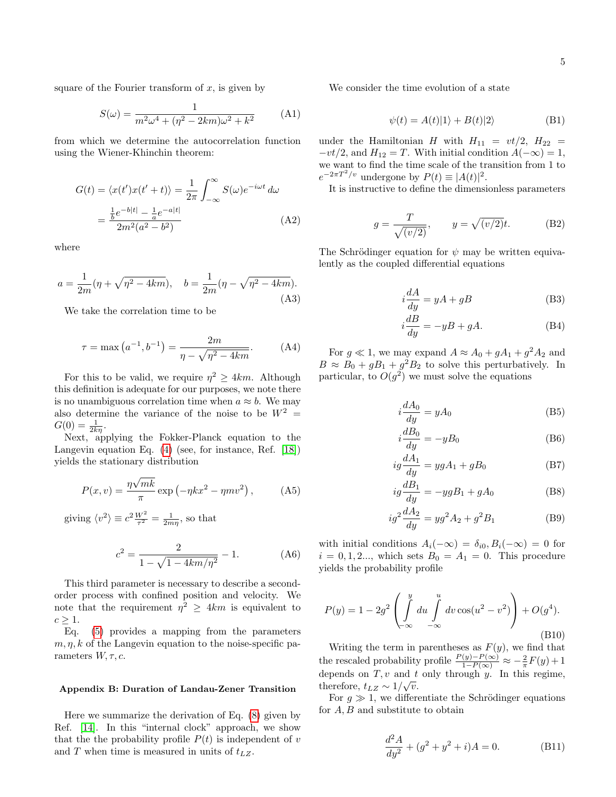square of the Fourier transform of  $x$ , is given by

$$
S(\omega) = \frac{1}{m^2 \omega^4 + (\eta^2 - 2km)\omega^2 + k^2}
$$
 (A1)

from which we determine the autocorrelation function using the Wiener-Khinchin theorem:

$$
G(t) = \langle x(t')x(t'+t) \rangle = \frac{1}{2\pi} \int_{-\infty}^{\infty} S(\omega)e^{-i\omega t} d\omega
$$

$$
= \frac{\frac{1}{b}e^{-b|t|} - \frac{1}{a}e^{-a|t|}}{2m^2(a^2 - b^2)}
$$
(A2)

where

$$
a = \frac{1}{2m}(\eta + \sqrt{\eta^2 - 4km}), \quad b = \frac{1}{2m}(\eta - \sqrt{\eta^2 - 4km}).
$$
\n(A3)

We take the correlation time to be

$$
\tau = \max\left(a^{-1}, b^{-1}\right) = \frac{2m}{\eta - \sqrt{\eta^2 - 4km}}.\tag{A4}
$$

For this to be valid, we require  $\eta^2 \geq 4km$ . Although this definition is adequate for our purposes, we note there is no unambiguous correlation time when  $a \approx b$ . We may also determine the variance of the noise to be  $W^2 =$  $G(0) = \frac{1}{2k\eta}.$ 

Next, applying the Fokker-Planck equation to the Langevin equation Eq. [\(4\)](#page-1-3) (see, for instance, Ref. [\[18\]](#page-3-17)) yields the stationary distribution

$$
P(x,v) = \frac{\eta\sqrt{mk}}{\pi} \exp\left(-\eta kx^2 - \eta mv^2\right),\tag{A5}
$$

giving  $\langle v^2 \rangle \equiv c^2 \frac{W^2}{\tau^2} = \frac{1}{2m\eta}$ , so that

$$
c^2 = \frac{2}{1 - \sqrt{1 - 4km/\eta^2}} - 1.
$$
 (A6)

This third parameter is necessary to describe a secondorder process with confined position and velocity. We note that the requirement  $\eta^2 \geq 4km$  is equivalent to  $c \geq 1$ .

Eq. [\(5\)](#page-1-1) provides a mapping from the parameters  $m, \eta, k$  of the Langevin equation to the noise-specific parameters  $W, \tau, c$ .

#### <span id="page-4-0"></span>Appendix B: Duration of Landau-Zener Transition

Here we summarize the derivation of Eq. [\(8\)](#page-1-6) given by Ref. [\[14\]](#page-3-13). In this "internal clock" approach, we show that the the probability profile  $P(t)$  is independent of v and  $T$  when time is measured in units of  $t_{LZ}$ .

We consider the time evolution of a state

$$
\psi(t) = A(t)|1\rangle + B(t)|2\rangle \tag{B1}
$$

under the Hamiltonian H with  $H_{11} = vt/2$ ,  $H_{22} =$  $-vt/2$ , and  $H_{12} = T$ . With initial condition  $A(-\infty) = 1$ , we want to find the time scale of the transition from 1 to  $e^{-2\pi T^2/v}$  undergone by  $P(t) \equiv |A(t)|^2$ .

It is instructive to define the dimensionless parameters

$$
g = \frac{T}{\sqrt{(v/2)}}, \qquad y = \sqrt{(v/2)}t.
$$
 (B2)

The Schrödinger equation for  $\psi$  may be written equivalently as the coupled differential equations

$$
i\frac{dA}{dy} = yA + gB\tag{B3}
$$

$$
i\frac{dB}{dy} = -yB + gA.\tag{B4}
$$

For  $g \ll 1$ , we may expand  $A \approx A_0 + gA_1 + g^2A_2$  and  $B \approx B_0 + gB_1 + g^2B_2$  to solve this perturbatively. In particular, to  $O(g^2)$  we must solve the equations

$$
i\frac{dA_0}{dy} = yA_0\tag{B5}
$$

$$
i\frac{dB_0}{dy} = -yB_0\tag{B6}
$$

$$
ig\frac{dA_1}{dy} = ygA_1 + gB_0
$$
 (B7)

$$
ig\frac{dB_1}{dy} = -ygB_1 + gA_0\tag{B8}
$$

$$
ig^2 \frac{dA_2}{dy} = yg^2 A_2 + g^2 B_1 \tag{B9}
$$

with initial conditions  $A_i(-\infty) = \delta_{i0}, B_i(-\infty) = 0$  for  $i = 0, 1, 2...$ , which sets  $B_0 = A_1 = 0$ . This procedure yields the probability profile

<span id="page-4-1"></span>
$$
P(y) = 1 - 2g^{2} \left( \int_{-\infty}^{y} du \int_{-\infty}^{u} dv \cos(u^{2} - v^{2}) \right) + O(g^{4}).
$$
\n(B10)

Writing the term in parentheses as  $F(y)$ , we find that the rescaled probability profile  $\frac{P(y)-P(\infty)}{1-P(\infty)} \approx -\frac{2}{\pi}F(y)+1$ depends on  $T, v$  and  $t$  only through  $y$ . In this regime, therefore,  $t_{LZ} \sim 1/\sqrt{v}$ .

For  $g \gg 1$ , we differentiate the Schrödinger equations for  $A, B$  and substitute to obtain

$$
\frac{d^2A}{dy^2} + (g^2 + y^2 + i)A = 0.
$$
 (B11)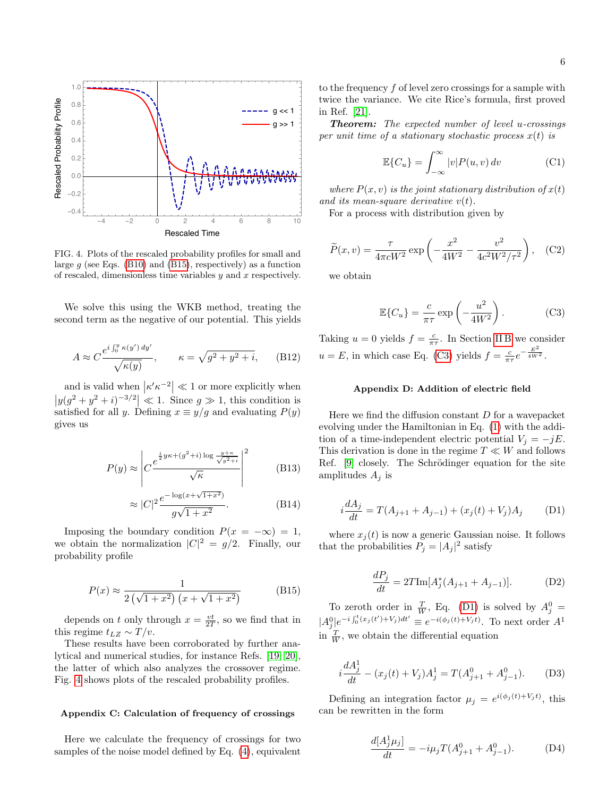

<span id="page-5-3"></span>FIG. 4. Plots of the rescaled probability profiles for small and large  $g$  (see Eqs. [\(B10\)](#page-4-1) and [\(B15\)](#page-5-2), respectively) as a function of rescaled, dimensionless time variables  $y$  and  $x$  respectively.

We solve this using the WKB method, treating the second term as the negative of our potential. This yields

$$
A \approx C \frac{e^{i \int_0^y \kappa(y') dy'}}{\sqrt{\kappa(y)}}, \qquad \kappa = \sqrt{g^2 + y^2 + i}, \qquad \text{(B12)}
$$

and is valid when  $\left|\kappa' \kappa^{-2}\right| \ll 1$  or more explicitly when  $|y(g^2 + y^2 + i)^{-3/2}| \ll 1$ . Since  $g \gg 1$ , this condition is satisfied for all y. Defining  $x \equiv y/g$  and evaluating  $P(y)$ gives us

$$
P(y) \approx \left| C \frac{e^{\frac{i}{2}y\kappa + (g^2 + i) \log \frac{y + \kappa}{\sqrt{g^2 + i}}}}{\sqrt{\kappa}} \right|^2 \tag{B13}
$$

$$
\approx |C|^2 \frac{e^{-\log(x + \sqrt{1+x^2})}}{g\sqrt{1+x^2}}.\tag{B14}
$$

Imposing the boundary condition  $P(x = -\infty) = 1$ , we obtain the normalization  $|C|^2 = g/2$ . Finally, our probability profile

<span id="page-5-2"></span>
$$
P(x) \approx \frac{1}{2(\sqrt{1+x^2})(x+\sqrt{1+x^2})}
$$
 (B15)

depends on t only through  $x = \frac{vt}{2T}$ , so we find that in this regime  $t_{LZ} \sim T/v$ .

These results have been corroborated by further analytical and numerical studies, for instance Refs. [\[19,](#page-3-18) [20\]](#page-3-19), the latter of which also analyzes the crossover regime. Fig. [4](#page-5-3) shows plots of the rescaled probability profiles.

#### <span id="page-5-0"></span>Appendix C: Calculation of frequency of crossings

Here we calculate the frequency of crossings for two samples of the noise model defined by Eq. [\(4\)](#page-1-3), equivalent

to the frequency f of level zero crossings for a sample with twice the variance. We cite Rice's formula, first proved in Ref. [\[21\]](#page-3-20).

**Theorem:** The expected number of level u-crossings per unit time of a stationary stochastic process  $x(t)$  is

$$
\mathbb{E}\{C_u\} = \int_{-\infty}^{\infty} |v| P(u, v) dv
$$
 (C1)

where  $P(x, v)$  is the joint stationary distribution of  $x(t)$ and its mean-square derivative  $v(t)$ .

For a process with distribution given by

$$
\widetilde{P}(x,v) = \frac{\tau}{4\pi cW^2} \exp\left(-\frac{x^2}{4W^2} - \frac{v^2}{4c^2W^2/\tau^2}\right), \quad \text{(C2)}
$$

we obtain

<span id="page-5-4"></span>
$$
\mathbb{E}\{C_u\} = \frac{c}{\pi \tau} \exp\left(-\frac{u^2}{4W^2}\right). \tag{C3}
$$

Taking  $u = 0$  yields  $f = \frac{c}{\pi \tau}$ . In Section [II B](#page-2-4) we consider  $u = E$ , in which case Eq. [\(C3\)](#page-5-4) yields  $f = \frac{c}{\pi \tau} e^{-\frac{E^2}{4W^2}}$ .

### <span id="page-5-1"></span>Appendix D: Addition of electric field

Here we find the diffusion constant  $D$  for a wavepacket evolving under the Hamiltonian in Eq. [\(1\)](#page-0-0) with the addition of a time-independent electric potential  $V_j = -jE$ . This derivation is done in the regime  $T \ll W$  and follows Ref. [\[9\]](#page-3-7) closely. The Schrödinger equation for the site amplitudes  $A_j$  is

<span id="page-5-5"></span>
$$
i\frac{dA_j}{dt} = T(A_{j+1} + A_{j-1}) + (x_j(t) + V_j)A_j
$$
 (D1)

where  $x_i(t)$  is now a generic Gaussian noise. It follows that the probabilities  $P_j = |A_j|^2$  satisfy

<span id="page-5-6"></span>
$$
\frac{dP_j}{dt} = 2T \text{Im}[A_j^*(A_{j+1} + A_{j-1})].
$$
 (D2)

To zeroth order in  $\frac{T}{W}$ , Eq. [\(D1\)](#page-5-5) is solved by  $A_j^0$  =  $|A_j^0|e^{-i\int_0^t (x_j(t')+V_j)dt'} \equiv e^{-i(\phi_j(t)+V_jt)}$ . To next order  $A^1$ in  $\frac{T}{W}$ , we obtain the differential equation

$$
i\frac{dA_j^1}{dt} - (x_j(t) + V_j)A_j^1 = T(A_{j+1}^0 + A_{j-1}^0). \tag{D3}
$$

Defining an integration factor  $\mu_j = e^{i(\phi_j(t) + V_j t)}$ , this can be rewritten in the form

$$
\frac{d[A_j^1 \mu_j]}{dt} = -i\mu_j T(A_{j+1}^0 + A_{j-1}^0). \tag{D4}
$$